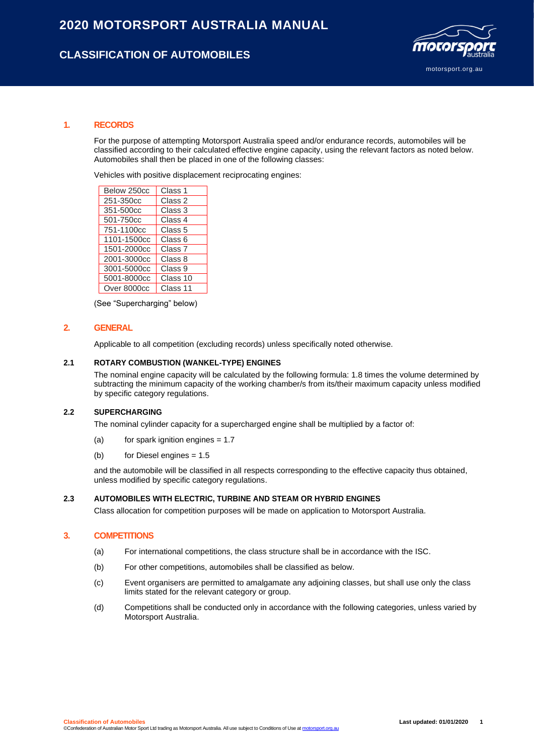# **CLASSIFICATION OF AUTOMOBILES**



#### **1. RECORDS**

For the purpose of attempting Motorsport Australia speed and/or endurance records, automobiles will be classified according to their calculated effective engine capacity, using the relevant factors as noted below. Automobiles shall then be placed in one of the following classes:

Vehicles with positive displacement reciprocating engines:

| Below 250cc | Class 1            |
|-------------|--------------------|
| 251-350cc   | Class 2            |
| 351-500cc   | Class 3            |
| 501-750cc   | Class 4            |
| 751-1100cc  | Class 5            |
| 1101-1500cc | Class 6            |
| 1501-2000cc | Class <sub>7</sub> |
| 2001-3000cc | Class 8            |
| 3001-5000cc | Class 9            |
| 5001-8000cc | Class 10           |
| Over 8000cc | Class 11           |

(See "Supercharging" below)

### **2. GENERAL**

Applicable to all competition (excluding records) unless specifically noted otherwise.

#### **2.1 ROTARY COMBUSTION (WANKEL-TYPE) ENGINES**

The nominal engine capacity will be calculated by the following formula: 1.8 times the volume determined by subtracting the minimum capacity of the working chamber/s from its/their maximum capacity unless modified by specific category regulations.

#### **2.2 SUPERCHARGING**

The nominal cylinder capacity for a supercharged engine shall be multiplied by a factor of:

- (a) for spark ignition engines  $= 1.7$
- (b) for Diesel engines = 1.5

and the automobile will be classified in all respects corresponding to the effective capacity thus obtained, unless modified by specific category regulations.

#### **2.3 AUTOMOBILES WITH ELECTRIC, TURBINE AND STEAM OR HYBRID ENGINES**

Class allocation for competition purposes will be made on application to Motorsport Australia.

### **3. COMPETITIONS**

- (a) For international competitions, the class structure shall be in accordance with the ISC.
- (b) For other competitions, automobiles shall be classified as below.
- (c) Event organisers are permitted to amalgamate any adjoining classes, but shall use only the class limits stated for the relevant category or group.
- (d) Competitions shall be conducted only in accordance with the following categories, unless varied by Motorsport Australia.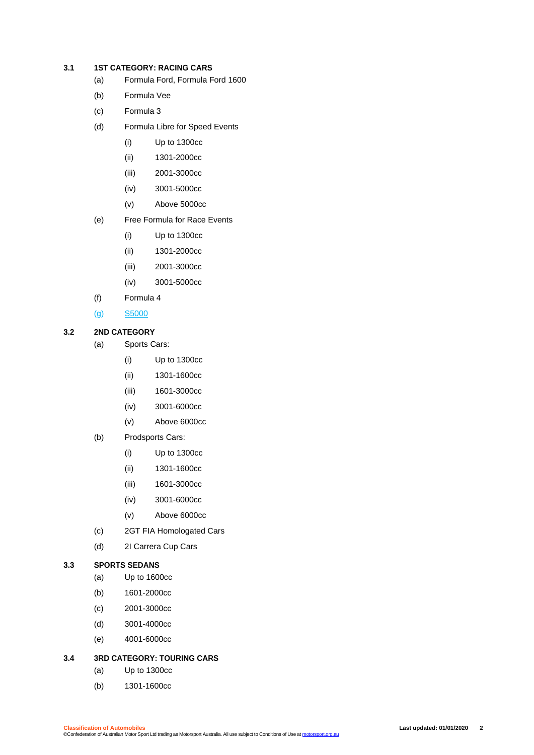### **3.1 1ST CATEGORY: RACING CARS**

- (a) Formula Ford, Formula Ford 1600
- (b) Formula Vee
- (c) Formula 3
- (d) Formula Libre for Speed Events
	- (i) Up to 1300cc
	- (ii) 1301-2000cc
	- (iii) 2001-3000cc
	- (iv) 3001-5000cc
	- (v) Above 5000cc
- (e) Free Formula for Race Events
	- (i) Up to 1300cc
	- (ii) 1301-2000cc
	- (iii) 2001-3000cc
	- (iv) 3001-5000cc
- (f) Formula 4
- (g) S5000

### **3.2 2ND CATEGORY**

- (a) Sports Cars:
	- (i) Up to 1300cc
	- (ii) 1301-1600cc
	- (iii) 1601-3000cc
	- (iv) 3001-6000cc
	- (v) Above 6000cc
- (b) Prodsports Cars:
	- (i) Up to 1300cc
	- (ii) 1301-1600cc
	- (iii) 1601-3000cc
	- (iv) 3001-6000cc
	- (v) Above 6000cc
- (c) 2GT FIA Homologated Cars
- (d) 2I Carrera Cup Cars

### **3.3 SPORTS SEDANS**

- (a) Up to 1600cc
- (b) 1601-2000cc
- (c) 2001-3000cc
- (d) 3001-4000cc
- (e) 4001-6000cc

# **3.4 3RD CATEGORY: TOURING CARS**

- (a) Up to 1300cc
- (b) 1301-1600cc